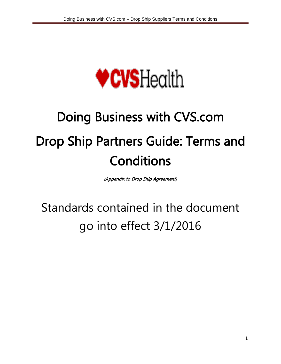

# Doing Business with CVS.com Drop Ship Partners Guide: Terms and **Conditions**

(Appendix to Drop Ship Agreement)

## Standards contained in the document go into effect 3/1/2016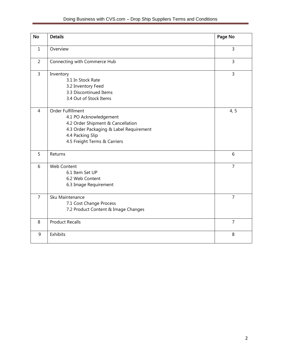| <b>No</b>      | <b>Details</b>                                                                                                                                                                  | Page No        |
|----------------|---------------------------------------------------------------------------------------------------------------------------------------------------------------------------------|----------------|
| $\mathbf{1}$   | Overview                                                                                                                                                                        | 3              |
| $\overline{2}$ | Connecting with Commerce Hub                                                                                                                                                    | 3              |
| $\overline{3}$ | Inventory<br>3.1 In Stock Rate<br>3.2 Inventory Feed<br>3.3 Discontinued Items<br>3.4 Out of Stock Items                                                                        | 3              |
| $\overline{4}$ | Order Fulfillment<br>4.1 PO Acknowledgement<br>4.2 Order Shipment & Cancellation<br>4.3 Order Packaging & Label Requirement<br>4.4 Packing Slip<br>4.5 Freight Terms & Carriers | 4, 5           |
| 5              | Returns                                                                                                                                                                         | 6              |
| 6              | Web Content<br>6.1 Item Set UP<br>6.2 Web Content<br>6.3 Image Requirement                                                                                                      | $\overline{7}$ |
| $\overline{7}$ | Sku Maintenance<br>7.1 Cost Change Process<br>7.2 Product Content & Image Changes                                                                                               | $\overline{7}$ |
| 8              | <b>Product Recalls</b>                                                                                                                                                          | $\overline{7}$ |
| 9              | Exhibits                                                                                                                                                                        | 8              |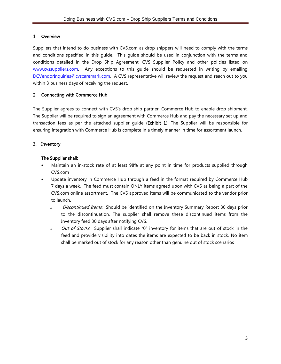#### 1. Overview

Suppliers that intend to do business with CVS.com as drop shippers will need to comply with the terms and conditions specified in this guide. This guide should be used in conjunction with the terms and conditions detailed in the Drop Ship Agreement, CVS Supplier Policy and other policies listed on [www.cvssuppliers.com.](http://www.cvssuppliers.com/) Any exceptions to this guide should be requested in writing by emailing [DCVendorInquiries@cvscaremark.com.](mailto:DCVendorInquiries@cvscaremark.com) A CVS representative will review the request and reach out to you within 3 business days of receiving the request.

#### 2. Connecting with Commerce Hub

The Supplier agrees to connect with CVS's drop ship partner, Commerce Hub to enable drop shipment. The Supplier will be required to sign an agreement with Commerce Hub and pay the necessary set up and transaction fees as per the attached supplier guide (Exhibit 1). The Supplier will be responsible for ensuring integration with Commerce Hub is complete in a timely manner in time for assortment launch.

#### 3. Inventory

#### The Supplier shall:

- Maintain an in-stock rate of at least 98% at any point in time for products supplied through CVS.com
- Update inventory in Commerce Hub through a feed in the format required by Commerce Hub 7 days a week. The feed must contain ONLY items agreed upon with CVS as being a part of the CVS.com online assortment. The CVS approved items will be communicated to the vendor prior to launch.
	- o *Discontinued Items*: Should be identified on the Inventory Summary Report 30 days prior to the discontinuation. The supplier shall remove these discontinued items from the Inventory feed 30 days after notifying CVS.
	- $\circ$  *Out of Stocks*. Supplier shall indicate "0" inventory for items that are out of stock in the feed and provide visibility into dates the items are expected to be back in stock. No item shall be marked out of stock for any reason other than genuine out of stock scenarios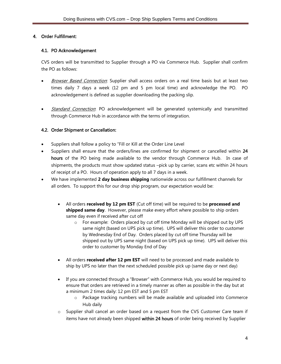#### 4. Order Fulfillment:

#### 4.1. PO Acknowledgement

CVS orders will be transmitted to Supplier through a PO via Commerce Hub. Supplier shall confirm the PO as follows:

- *Browser Based Connection*: Supplier shall access orders on a real time basis but at least two times daily 7 days a week (12 pm and 5 pm local time) and acknowledge the PO. PO acknowledgement is defined as supplier downloading the packing slip.
- Standard Connection: PO acknowledgement will be generated systemically and transmitted through Commerce Hub in accordance with the terms of integration.

#### 4.2. Order Shipment or Cancellation:

- Suppliers shall follow a policy to "Fill or Kill at the Order Line Level
- Suppliers shall ensure that the orders/lines are confirmed for shipment or cancelled within 24 hours of the PO being made available to the vendor through Commerce Hub. In case of shipments, the products must show updated status –pick up by carrier, scans etc within 24 hours of receipt of a PO. Hours of operation apply to all 7 days in a week.
- We have implemented **2 day business shipping** nationwide across our fulfillment channels for all orders. To support this for our drop ship program, our expectation would be:
	- All orders **received by 12 pm EST** (Cut off time) will be required to be **processed and shipped same day**. However, please make every effort where possible to ship orders same day even if received after cut off
		- o For example: Orders placed by cut off time Monday will be shipped out by UPS same night (based on UPS pick up time). UPS will deliver this order to customer by Wednesday End of Day. Orders placed by cut off time Thursday will be shipped out by UPS same night (based on UPS pick up time). UPS will deliver this order to customer by Monday End of Day
	- All orders **received after 12 pm EST** will need to be processed and made available to ship by UPS no later than the next scheduled possible pick up (same day or next day)
	- If you are connected through a "Browser" with Commerce Hub, you would be required to ensure that orders are retrieved in a timely manner as often as possible in the day but at a minimum 2 times daily: 12 pm EST and 5 pm EST
		- o Package tracking numbers will be made available and uploaded into Commerce Hub daily
	- o Supplier shall cancel an order based on a request from the CVS Customer Care team if items have not already been shipped within 24 hours of order being received by Supplier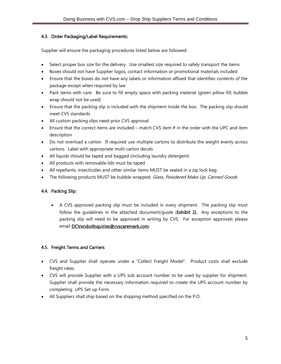#### 4.3. Order Packaging/Label Requirements:

Supplier will ensure the packaging procedures listed below are followed:

- Select proper box size for the delivery. Use smallest size required to safely transport the items
- Boxes should not have Supplier logos, contact information or promotional materials included
- Ensure that the boxes do not have any labels or information affixed that identifies contents of the package except when required by law
- Pack items with care. Be sure to fill empty space with packing material (green pillow fill; bubble wrap should not be used)
- Ensure that the packing slip is included with the shipment inside the box. The packing slip should meet CVS standards
- All custom packing slips need prior CVS approval.
- **Ensure that the correct items are included match CVS item**  $#$  **in the order with the UPC and item** description
- Do not overload a carton. If required use multiple cartons to distribute the weight evenly across cartons. Label with appropriate multi carton decals
- All liquids should be taped and bagged (including laundry detergent)
- All products with removable lids must be taped
- All repellants, insecticides and other similar items MUST be sealed in a zip lock bag
- The following products MUST be bubble wrapped: Glass, Powdered Make Up, Canned Goods

#### 4.4. Packing Slip:

 A CVS approved packing slip must be included in every shipment. The packing slip must follow the guidelines in the attached document/guide (Exhibit 2). Any exceptions to the packing slip will need to be approved in writing by CVS. For exception approvals please email **[DCVendorInquiries@cvscaremark.com.](mailto:DCVendorInquiries@cvscaremark.com)** 

#### 4.5. Freight Terms and Carriers

- CVS and Supplier shall operate under a "Collect Freight Model". Product costs shall exclude freight rates.
- CVS will provide Supplier with a UPS sub account number to be used by supplier for shipment. Supplier shall provide the necessary information required to create the UPS account number by completing UPS Set up Form
- All Suppliers shall ship based on the shipping method specified on the P.O.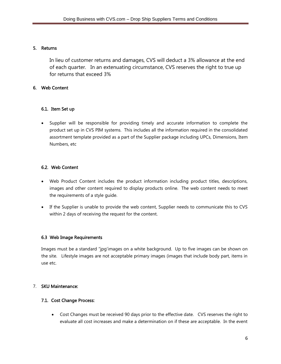#### 5. Returns

In lieu of customer returns and damages, CVS will deduct a 3% allowance at the end of each quarter. In an extenuating circumstance, CVS reserves the right to true up for returns that exceed 3%

#### 6. Web Content

#### 6.1. Item Set up

 Supplier will be responsible for providing timely and accurate information to complete the product set up in CVS PIM systems. This includes all the information required in the consolidated assortment template provided as a part of the Supplier package including UPCs, Dimensions, Item Numbers, etc

#### 6.2. Web Content

- Web Product Content includes the product information including product titles, descriptions, images and other content required to display products online. The web content needs to meet the requirements of a style guide.
- If the Supplier is unable to provide the web content, Supplier needs to communicate this to CVS within 2 days of receiving the request for the content.

#### 6.3 Web Image Requirements

Images must be a standard "jpg'images on a white background. Up to five images can be shown on the site. Lifestyle images are not acceptable primary images (images that include body part, items in use etc.

#### 7. SKU Maintenance:

#### 7.1. Cost Change Process:

 Cost Changes must be received 90 days prior to the effective date. CVS reserves the right to evaluate all cost increases and make a determination on if these are acceptable. In the event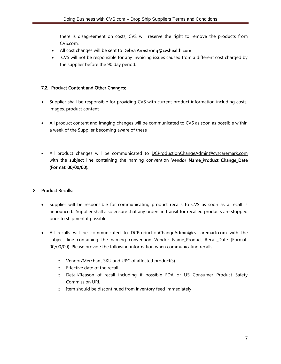there is disagreement on costs, CVS will reserve the right to remove the products from CVS.com.

- All cost changes will be sent to Debra.Armstrong@cvshealth.com
- CVS will not be responsible for any invoicing issues caused from a different cost charged by the supplier before the 90 day period.

#### 7.2. Product Content and Other Changes:

- Supplier shall be responsible for providing CVS with current product information including costs, images, product content
- All product content and imaging changes will be communicated to CVS as soon as possible within a week of the Supplier becoming aware of these
- All product changes will be communicated to **[DCProductionChangeAdmin@cvscaremark.com](mailto:DCProductionChangeAdmin@cvscaremark.com)** with the subject line containing the naming convention Vendor Name\_Product Change\_Date (Format: 00/00/00).

#### 8. Product Recalls:

- Supplier will be responsible for communicating product recalls to CVS as soon as a recall is announced. Supplier shall also ensure that any orders in transit for recalled products are stopped prior to shipment if possible.
- All recalls will be communicated to [DCProductionChangeAdmin@cvscaremark.com](mailto:DCProductionChangeAdmin@cvscaremark.com) with the subject line containing the naming convention Vendor Name\_Product Recall\_Date (Format: 00/00/00). Please provide the following information when communicating recalls:
	- o Vendor/Merchant SKU and UPC of affected product(s)
	- o Effective date of the recall
	- o Detail/Reason of recall including if possible FDA or US Consumer Product Safety Commission URL
	- o Item should be discontinued from inventory feed immediately